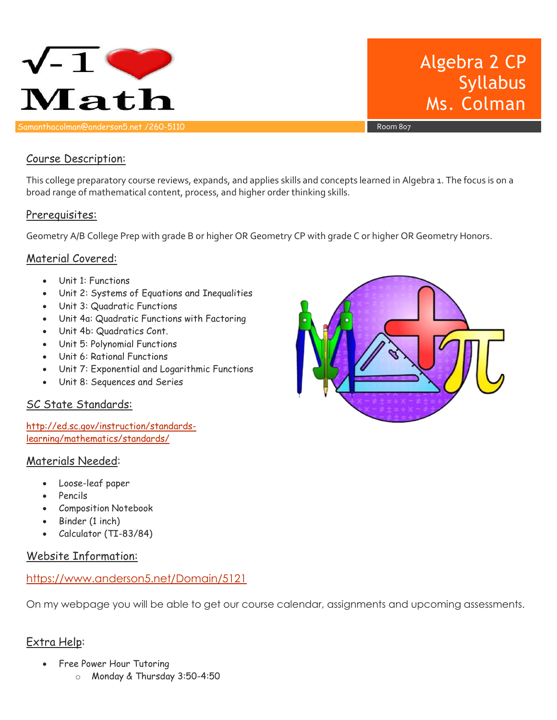

# Algebra 2 CP Syllabus Ms. Colman

#### Course Description:

This college preparatory course reviews, expands, and applies skills and concepts learned in Algebra 1. The focus is on a broad range of mathematical content, process, and higher order thinking skills.

#### Prerequisites:

Geometry A/B College Prep with grade B or higher OR Geometry CP with grade C or higher OR Geometry Honors.

#### Material Covered:

- Unit 1: Functions
- Unit 2: Systems of Equations and Inequalities
- Unit 3: Quadratic Functions
- Unit 4a: Quadratic Functions with Factoring
- Unit 4b: Quadratics Cont.
- Unit 5: Polynomial Functions
- Unit 6: Rational Functions
- Unit 7: Exponential and Logarithmic Functions
- Unit 8: Sequences and Series

## SC State Standards:

http://ed.sc.gov/instruction/standardslearning/mathematics/standards/

#### Materials Needed:

- Loose-leaf paper
- Pencils
- Composition Notebook
- Binder (1 inch)
- Calculator (TI-83/84)

#### Website Information:

#### https://www.anderson5.net/Domain/5121

On my webpage you will be able to get our course calendar, assignments and upcoming assessments.

## Extra Help:

- Free Power Hour Tutoring
	- o Monday & Thursday 3:50-4:50